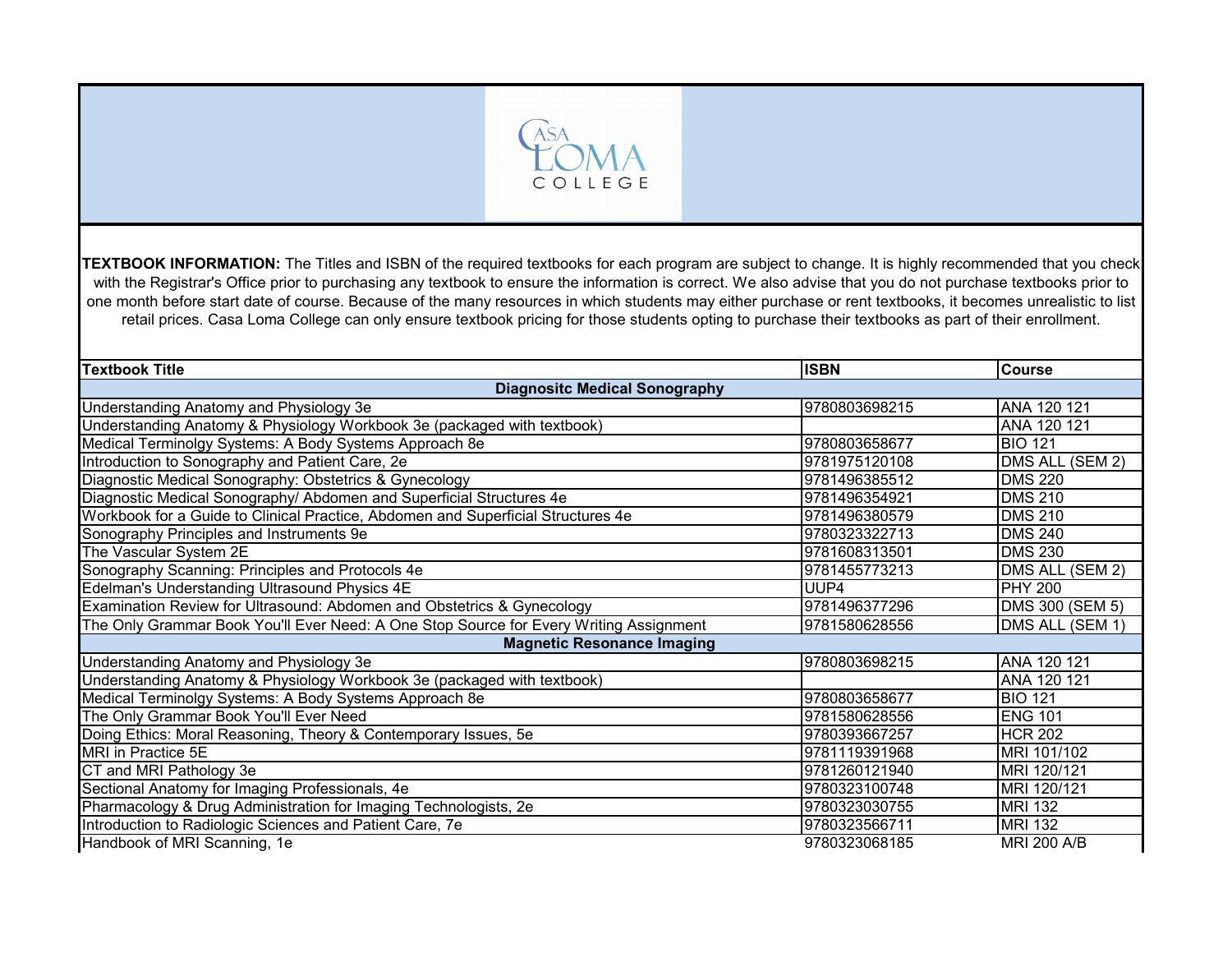

**TEXTBOOK INFORMATION:** The Titles and ISBN of the required textbooks for each program are subject to change. It is highly recommended that you check with the Registrar's Office prior to purchasing any textbook to ensure the information is correct. We also advise that you do not purchase textbooks prior to one month before start date of course. Because of the many resources in which students may either purchase or rent textbooks, it becomes unrealistic to list retail prices. Casa Loma College can only ensure textbook pricing for those students opting to purchase their textbooks as part of their enrollment.

| <b>Textbook Title</b>                                                                  | <b>ISBN</b>   | <b>Course</b>      |
|----------------------------------------------------------------------------------------|---------------|--------------------|
| <b>Diagnositc Medical Sonography</b>                                                   |               |                    |
| Understanding Anatomy and Physiology 3e                                                | 9780803698215 | ANA 120 121        |
| Understanding Anatomy & Physiology Workbook 3e (packaged with textbook)                |               | ANA 120 121        |
| Medical Terminolgy Systems: A Body Systems Approach 8e                                 | 9780803658677 | <b>BIO 121</b>     |
| Introduction to Sonography and Patient Care, 2e                                        | 9781975120108 | DMS ALL (SEM 2)    |
| Diagnostic Medical Sonography: Obstetrics & Gynecology                                 | 9781496385512 | <b>DMS 220</b>     |
| Diagnostic Medical Sonography/ Abdomen and Superficial Structures 4e                   | 9781496354921 | <b>DMS 210</b>     |
| Workbook for a Guide to Clinical Practice, Abdomen and Superficial Structures 4e       | 9781496380579 | <b>DMS 210</b>     |
| Sonography Principles and Instruments 9e                                               | 9780323322713 | <b>DMS 240</b>     |
| The Vascular System 2E                                                                 | 9781608313501 | <b>DMS 230</b>     |
| Sonography Scanning: Principles and Protocols 4e                                       | 9781455773213 | DMS ALL (SEM 2)    |
| Edelman's Understanding Ultrasound Physics 4E                                          | UUP4          | <b>PHY 200</b>     |
| Examination Review for Ultrasound: Abdomen and Obstetrics & Gynecology                 | 9781496377296 | DMS 300 (SEM 5)    |
| The Only Grammar Book You'll Ever Need: A One Stop Source for Every Writing Assignment | 9781580628556 | DMS ALL (SEM 1)    |
| <b>Magnetic Resonance Imaging</b>                                                      |               |                    |
| <b>Understanding Anatomy and Physiology 3e</b>                                         | 9780803698215 | ANA 120 121        |
| Understanding Anatomy & Physiology Workbook 3e (packaged with textbook)                |               | ANA 120 121        |
| Medical Terminolgy Systems: A Body Systems Approach 8e                                 | 9780803658677 | <b>BIO 121</b>     |
| The Only Grammar Book You'll Ever Need                                                 | 9781580628556 | <b>ENG 101</b>     |
| Doing Ethics: Moral Reasoning, Theory & Contemporary Issues, 5e                        | 9780393667257 | <b>HCR 202</b>     |
| <b>MRI</b> in Practice 5E                                                              | 9781119391968 | MRI 101/102        |
| CT and MRI Pathology 3e                                                                | 9781260121940 | MRI 120/121        |
| Sectional Anatomy for Imaging Professionals, 4e                                        | 9780323100748 | MRI 120/121        |
| Pharmacology & Drug Administration for Imaging Technologists, 2e                       | 9780323030755 | <b>MRI 132</b>     |
| Introduction to Radiologic Sciences and Patient Care, 7e                               | 9780323566711 | <b>MRI 132</b>     |
| Handbook of MRI Scanning, 1e                                                           | 9780323068185 | <b>MRI 200 A/B</b> |